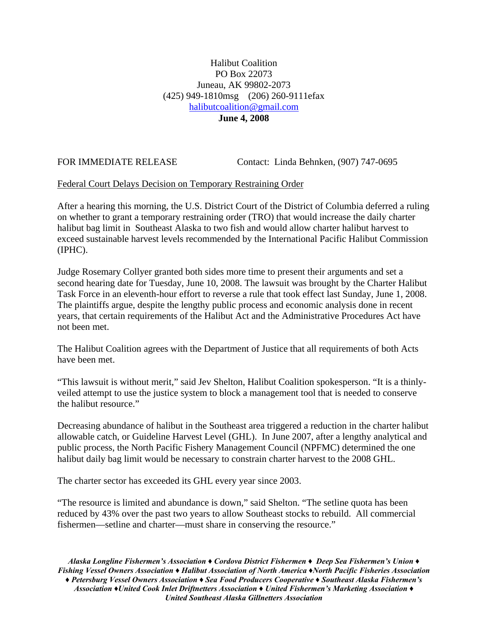## Halibut Coalition PO Box 22073 Juneau, AK 99802-2073 (425) 949-1810msg (206) 260-9111efax [halibutcoalition@gmail.com](mailto:halibutcoalition@gmail.com)  **June 4, 2008**

FOR IMMEDIATE RELEASE Contact: Linda Behnken, (907) 747-0695

## Federal Court Delays Decision on Temporary Restraining Order

After a hearing this morning, the U.S. District Court of the District of Columbia deferred a ruling on whether to grant a temporary restraining order (TRO) that would increase the daily charter halibut bag limit in Southeast Alaska to two fish and would allow charter halibut harvest to exceed sustainable harvest levels recommended by the International Pacific Halibut Commission (IPHC).

Judge Rosemary Collyer granted both sides more time to present their arguments and set a second hearing date for Tuesday, June 10, 2008. The lawsuit was brought by the Charter Halibut Task Force in an eleventh-hour effort to reverse a rule that took effect last Sunday, June 1, 2008. The plaintiffs argue, despite the lengthy public process and economic analysis done in recent years, that certain requirements of the Halibut Act and the Administrative Procedures Act have not been met.

The Halibut Coalition agrees with the Department of Justice that all requirements of both Acts have been met.

"This lawsuit is without merit," said Jev Shelton, Halibut Coalition spokesperson. "It is a thinlyveiled attempt to use the justice system to block a management tool that is needed to conserve the halibut resource."

Decreasing abundance of halibut in the Southeast area triggered a reduction in the charter halibut allowable catch, or Guideline Harvest Level (GHL). In June 2007, after a lengthy analytical and public process, the North Pacific Fishery Management Council (NPFMC) determined the one halibut daily bag limit would be necessary to constrain charter harvest to the 2008 GHL.

The charter sector has exceeded its GHL every year since 2003.

"The resource is limited and abundance is down," said Shelton. "The setline quota has been reduced by 43% over the past two years to allow Southeast stocks to rebuild. All commercial fishermen—setline and charter—must share in conserving the resource."

*Alaska Longline Fishermen's Association ♦ Cordova District Fishermen ♦ Deep Sea Fishermen's Union ♦ Fishing Vessel Owners Association ♦ Halibut Association of North America ♦North Pacific Fisheries Association ♦ Petersburg Vessel Owners Association ♦ Sea Food Producers Cooperative ♦ Southeast Alaska Fishermen's Association ♦United Cook Inlet Driftnetters Association ♦ United Fishermen's Marketing Association ♦ United Southeast Alaska Gillnetters Association*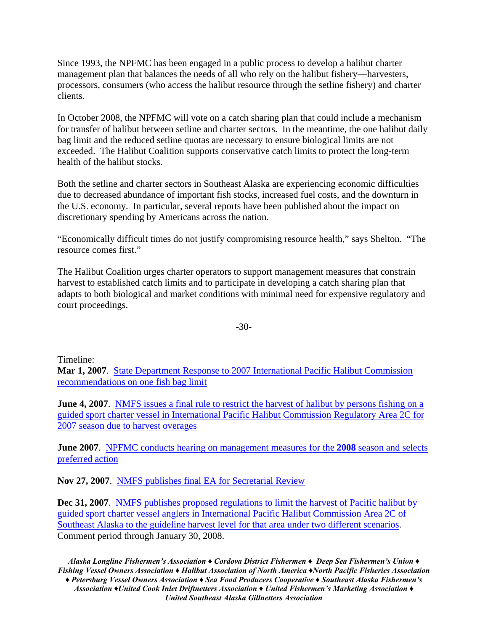Since 1993, the NPFMC has been engaged in a public process to develop a halibut charter management plan that balances the needs of all who rely on the halibut fishery—harvesters, processors, consumers (who access the halibut resource through the setline fishery) and charter clients.

In October 2008, the NPFMC will vote on a catch sharing plan that could include a mechanism for transfer of halibut between setline and charter sectors. In the meantime, the one halibut daily bag limit and the reduced setline quotas are necessary to ensure biological limits are not exceeded. The Halibut Coalition supports conservative catch limits to protect the long-term health of the halibut stocks.

Both the setline and charter sectors in Southeast Alaska are experiencing economic difficulties due to decreased abundance of important fish stocks, increased fuel costs, and the downturn in the U.S. economy. In particular, several reports have been published about the impact on discretionary spending by Americans across the nation.

"Economically difficult times do not justify compromising resource health," says Shelton. "The resource comes first."

The Halibut Coalition urges charter operators to support management measures that constrain harvest to established catch limits and to participate in developing a catch sharing plan that adapts to both biological and market conditions with minimal need for expensive regulatory and court proceedings.

-30-

Timeline:

**Mar 1, 2007**. [State Department Response to 2007 International Pacific Halibut Commission](http://www.fakr.noaa.gov/sustainablefisheries/halibut/2007IPHCrecommendations.pdf)  [recommendations on one fish bag limit](http://www.fakr.noaa.gov/sustainablefisheries/halibut/2007IPHCrecommendations.pdf)

**June 4, 2007.** NMFS issues a final rule to restrict the harvest of halibut by persons fishing on a [guided sport charter vessel in International Pacific Halibut Commission Regulatory Area 2C for](http://www.fakr.noaa.gov/frules/72fr30714.pdf)  [2007 season due to harvest overages](http://www.fakr.noaa.gov/frules/72fr30714.pdf)

**June 2007**. [NPFMC conducts hearing on management measures for the](http://www.fakr.noaa.gov/npfmc/current_issues/halibut_issues/Area2CGHL607motion.pdf) **2008** season and selects [preferred action](http://www.fakr.noaa.gov/npfmc/current_issues/halibut_issues/Area2CGHL607motion.pdf)

**Nov 27, 2007**. [NMFS publishes final EA for Secretarial Review](http://www.fakr.noaa.gov/analyses/halibut/earirirfa_1107.pdf)

**Dec 31, 2007.** NMFS publishes proposed regulations to limit the harvest of Pacific halibut by [guided sport charter vessel anglers in International Pacific Halibut Commission Area 2C of](http://www.fakr.noaa.gov/prules/72fr74257.pdf)  [Southeast Alaska to the guideline harvest level for that area under two different scenarios.](http://www.fakr.noaa.gov/prules/72fr74257.pdf) Comment period through January 30, 2008.

*Alaska Longline Fishermen's Association ♦ Cordova District Fishermen ♦ Deep Sea Fishermen's Union ♦ Fishing Vessel Owners Association ♦ Halibut Association of North America ♦North Pacific Fisheries Association ♦ Petersburg Vessel Owners Association ♦ Sea Food Producers Cooperative ♦ Southeast Alaska Fishermen's Association ♦United Cook Inlet Driftnetters Association ♦ United Fishermen's Marketing Association ♦ United Southeast Alaska Gillnetters Association*